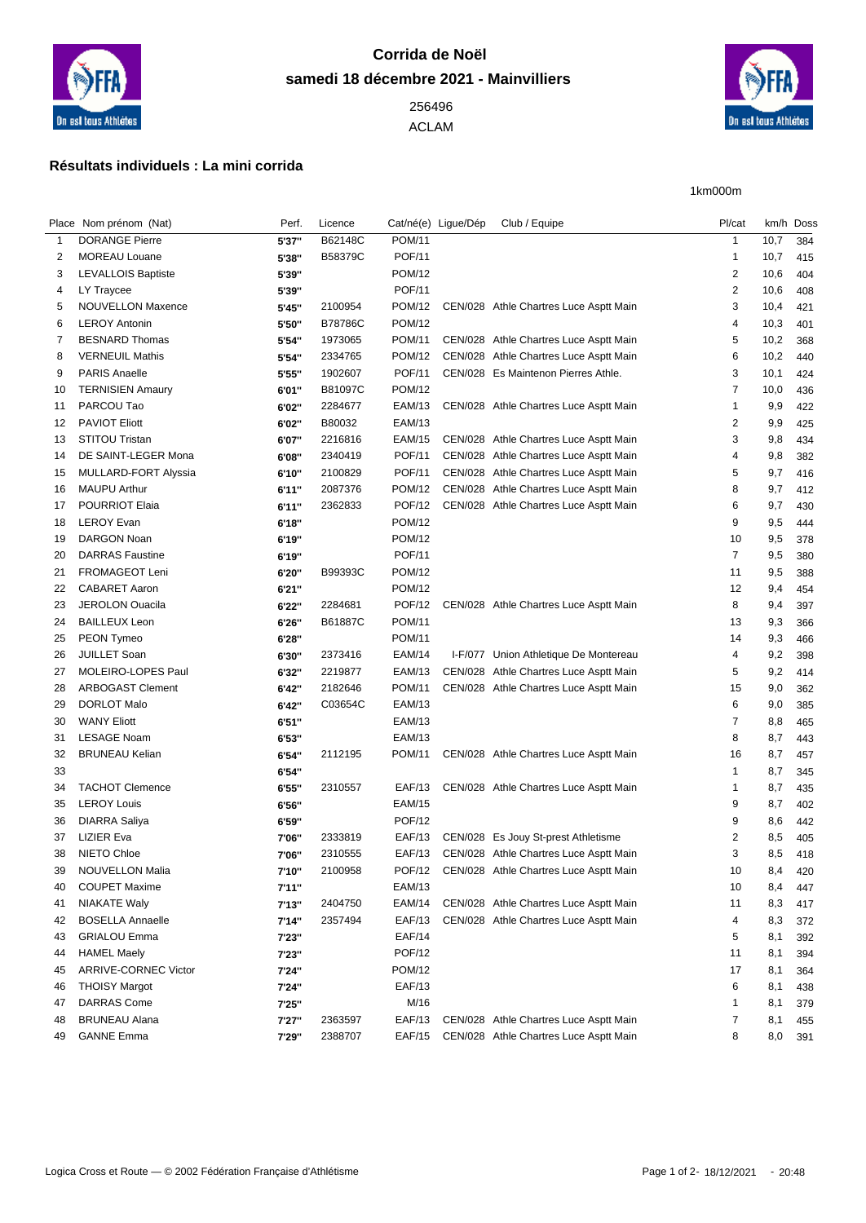

## **Corrida de Noël samedi 18 décembre 2021 - Mainvilliers**

ACLAM



1km000m

## **Résultats individuels : La mini corrida**

|    | Place Nom prénom (Nat)                    | Perf.  | Licence        |                                | Cat/né(e) Ligue/Dép | Club / Equipe                          | Pl/cat                       |      | km/h Doss |
|----|-------------------------------------------|--------|----------------|--------------------------------|---------------------|----------------------------------------|------------------------------|------|-----------|
| 1  | <b>DORANGE Pierre</b>                     | 5'37"  | B62148C        | <b>POM/11</b>                  |                     |                                        | $\mathbf{1}$                 | 10,7 | 384       |
| 2  | <b>MOREAU Louane</b>                      | 5'38"  | B58379C        | <b>POF/11</b>                  |                     |                                        | $\mathbf{1}$                 | 10,7 | 415       |
| 3  | <b>LEVALLOIS Baptiste</b>                 | 5'39"  |                | <b>POM/12</b>                  |                     |                                        | $\overline{2}$               | 10,6 | 404       |
| 4  | LY Traycee                                | 5'39"  |                | <b>POF/11</b>                  |                     |                                        | $\overline{c}$               | 10,6 | 408       |
| 5  | NOUVELLON Maxence                         | 5'45"  | 2100954        | <b>POM/12</b>                  |                     | CEN/028 Athle Chartres Luce Asptt Main | 3                            | 10,4 | 421       |
| 6  | <b>LEROY Antonin</b>                      | 5'50"  | <b>B78786C</b> | <b>POM/12</b>                  |                     |                                        | 4                            | 10,3 | 401       |
| 7  | <b>BESNARD Thomas</b>                     | 5'54"  | 1973065        | <b>POM/11</b>                  |                     | CEN/028 Athle Chartres Luce Asptt Main | 5                            | 10,2 | 368       |
| 8  | <b>VERNEUIL Mathis</b>                    | 5'54"  | 2334765        | <b>POM/12</b>                  |                     | CEN/028 Athle Chartres Luce Asptt Main | 6                            | 10,2 | 440       |
| 9  | <b>PARIS Anaelle</b>                      | 5'55"  | 1902607        | <b>POF/11</b>                  |                     | CEN/028 Es Maintenon Pierres Athle.    | 3                            | 10,1 | 424       |
| 10 | <b>TERNISIEN Amaury</b>                   | 6'01"  | B81097C        | <b>POM/12</b>                  |                     |                                        | $\overline{7}$               | 10,0 | 436       |
| 11 | PARCOU Tao                                | 6'02"  | 2284677        | EAM/13                         |                     | CEN/028 Athle Chartres Luce Asptt Main | $\mathbf{1}$                 | 9,9  | 422       |
| 12 | <b>PAVIOT Eliott</b>                      | 6'02"  | B80032         | <b>EAM/13</b>                  |                     |                                        | $\overline{2}$               | 9,9  | 425       |
| 13 | <b>STITOU Tristan</b>                     | 6'07"  | 2216816        | <b>EAM/15</b>                  |                     | CEN/028 Athle Chartres Luce Asptt Main | 3                            | 9,8  | 434       |
| 14 | DE SAINT-LEGER Mona                       | 6'08"  | 2340419        | <b>POF/11</b>                  |                     | CEN/028 Athle Chartres Luce Asptt Main | 4                            | 9,8  | 382       |
| 15 | MULLARD-FORT Alyssia                      | 6'10"  | 2100829        | <b>POF/11</b>                  |                     | CEN/028 Athle Chartres Luce Asptt Main | 5                            | 9,7  | 416       |
| 16 | <b>MAUPU Arthur</b>                       | 6'11"  | 2087376        | POM/12                         |                     | CEN/028 Athle Chartres Luce Asptt Main | 8                            | 9,7  | 412       |
| 17 | <b>POURRIOT Elaia</b>                     | 6'11"  | 2362833        | <b>POF/12</b>                  |                     | CEN/028 Athle Chartres Luce Asptt Main | 6                            | 9,7  | 430       |
| 18 | <b>LEROY Evan</b>                         | 6'18"  |                | <b>POM/12</b>                  |                     |                                        | 9                            | 9,5  | 444       |
| 19 | <b>DARGON Noan</b>                        | 6'19"  |                | <b>POM/12</b>                  |                     |                                        | 10                           | 9,5  | 378       |
| 20 | <b>DARRAS</b> Faustine                    | 6'19"  |                | <b>POF/11</b>                  |                     |                                        | $\overline{7}$               | 9,5  | 380       |
| 21 | FROMAGEOT Leni                            | 6'20"  | B99393C        | <b>POM/12</b>                  |                     |                                        | 11                           | 9,5  | 388       |
| 22 | <b>CABARET Aaron</b>                      | 6'21"  |                | <b>POM/12</b>                  |                     |                                        | 12                           | 9,4  | 454       |
| 23 | <b>JEROLON Ouacila</b>                    | 6'22"  | 2284681        | <b>POF/12</b>                  |                     | CEN/028 Athle Chartres Luce Asptt Main | 8                            | 9,4  | 397       |
| 24 | <b>BAILLEUX Leon</b>                      | 6'26"  | B61887C        | POM/11                         |                     |                                        | 13                           | 9,3  | 366       |
| 25 | PEON Tymeo                                | 6'28"  |                | POM/11                         |                     |                                        | 14                           | 9,3  | 466       |
| 26 | <b>JUILLET Soan</b>                       | 6'30"  | 2373416        | <b>EAM/14</b>                  |                     | I-F/077 Union Athletique De Montereau  | 4                            | 9,2  | 398       |
| 27 | MOLEIRO-LOPES Paul                        | 6'32"  | 2219877        | EAM/13                         |                     | CEN/028 Athle Chartres Luce Asptt Main | 5                            | 9,2  | 414       |
| 28 | <b>ARBOGAST Clement</b>                   | 6'42"  | 2182646        | <b>POM/11</b>                  |                     | CEN/028 Athle Chartres Luce Asptt Main | 15                           | 9,0  | 362       |
| 29 | <b>DORLOT Malo</b>                        |        | C03654C        | <b>EAM/13</b>                  |                     |                                        | 6                            | 9,0  |           |
|    | <b>WANY Eliott</b>                        | 6'42"  |                | <b>EAM/13</b>                  |                     |                                        | $\overline{7}$               | 8,8  | 385       |
| 30 | <b>LESAGE Noam</b>                        | 6'51'' |                | <b>EAM/13</b>                  |                     |                                        | 8                            |      | 465       |
| 31 |                                           | 6'53"  |                |                                |                     | CEN/028 Athle Chartres Luce Asptt Main |                              | 8,7  | 443       |
| 32 | <b>BRUNEAU Kelian</b>                     | 6'54"  | 2112195        | POM/11                         |                     |                                        | 16                           | 8,7  | 457       |
| 33 | <b>TACHOT Clemence</b>                    | 6'54"  |                |                                |                     |                                        | $\mathbf{1}$<br>$\mathbf{1}$ | 8,7  | 345       |
| 34 |                                           | 6'55"  | 2310557        | EAF/13                         |                     | CEN/028 Athle Chartres Luce Asptt Main |                              | 8,7  | 435       |
| 35 | <b>LEROY Louis</b>                        | 6'56"  |                | <b>EAM/15</b><br><b>POF/12</b> |                     |                                        | 9                            | 8,7  | 402       |
| 36 | <b>DIARRA Saliya</b><br><b>LIZIER Eva</b> | 6'59"  |                |                                |                     | CEN/028 Es Jouy St-prest Athletisme    | 9<br>$\overline{2}$          | 8,6  | 442       |
| 37 |                                           | 7'06"  | 2333819        | <b>EAF/13</b>                  |                     |                                        |                              | 8,5  | 405       |
| 38 | NIETO Chloe                               | 7'06"  | 2310555        | <b>EAF/13</b>                  |                     | CEN/028 Athle Chartres Luce Asptt Main | 3                            | 8,5  | 418       |
| 39 | <b>NOUVELLON Malia</b>                    | 7'10"  | 2100958        | <b>POF/12</b>                  |                     | CEN/028 Athle Chartres Luce Asptt Main | 10                           | 8,4  | 420       |
| 40 | <b>COUPET Maxime</b>                      | 7'11'' |                | <b>EAM/13</b>                  |                     |                                        | 10                           | 8,4  | 447       |
| 41 | <b>NIAKATE Waly</b>                       | 7'13"  | 2404750        | <b>EAM/14</b>                  |                     | CEN/028 Athle Chartres Luce Asptt Main | 11                           | 8,3  | 417       |
| 42 | <b>BOSELLA Annaelle</b>                   | 7'14"  | 2357494        | <b>EAF/13</b>                  |                     | CEN/028 Athle Chartres Luce Asptt Main | 4                            | 8,3  | 372       |
| 43 | <b>GRIALOU Emma</b>                       | 7'23"  |                | <b>EAF/14</b>                  |                     |                                        | 5                            | 8,1  | 392       |
| 44 | <b>HAMEL Maely</b>                        | 7'23"  |                | <b>POF/12</b>                  |                     |                                        | 11                           | 8,1  | 394       |
| 45 | ARRIVE-CORNEC Victor                      | 7'24"  |                | POM/12                         |                     |                                        | 17                           | 8,1  | 364       |
| 46 | <b>THOISY Margot</b>                      | 7'24"  |                | EAF/13                         |                     |                                        | 6                            | 8,1  | 438       |
| 47 | <b>DARRAS Come</b>                        | 7'25"  |                | M/16                           |                     |                                        | $\mathbf 1$                  | 8,1  | 379       |
| 48 | <b>BRUNEAU Alana</b>                      | 7'27"  | 2363597        | <b>EAF/13</b>                  |                     | CEN/028 Athle Chartres Luce Asptt Main | $\overline{7}$               | 8,1  | 455       |
| 49 | <b>GANNE Emma</b>                         | 7'29"  | 2388707        | <b>EAF/15</b>                  |                     | CEN/028 Athle Chartres Luce Asptt Main | 8                            | 8,0  | 391       |